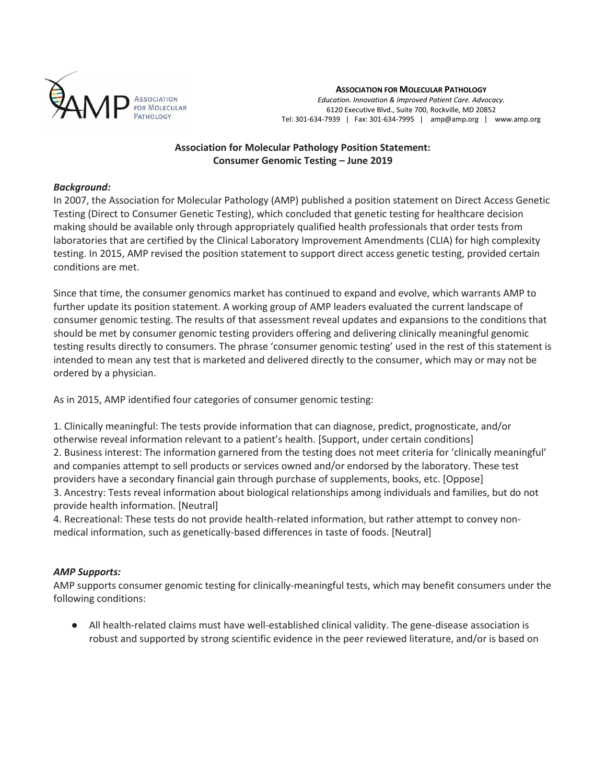

#### **ASSOCIATION FOR MOLECULAR PATHOLOGY**

*Education. Innovation & Improved Patient Care. Advocacy.* 6120 Executive Blvd., Suite 700, Rockville, MD 20852 Tel: 301-634-7939 | Fax: 301-634-7995 | amp@amp.org | www.amp.org

# **Association for Molecular Pathology Position Statement: Consumer Genomic Testing – June 2019**

#### *Background:*

In 2007, the Association for Molecular Pathology (AMP) published a position statement on Direct Access Genetic Testing (Direct to Consumer Genetic Testing), which concluded that genetic testing for healthcare decision making should be available only through appropriately qualified health professionals that order tests from laboratories that are certified by the Clinical Laboratory Improvement Amendments (CLIA) for high complexity testing. In 2015, AMP revised the position statement to support direct access genetic testing, provided certain conditions are met.

Since that time, the consumer genomics market has continued to expand and evolve, which warrants AMP to further update its position statement. A working group of AMP leaders evaluated the current landscape of consumer genomic testing. The results of that assessment reveal updates and expansions to the conditions that should be met by consumer genomic testing providers offering and delivering clinically meaningful genomic testing results directly to consumers. The phrase 'consumer genomic testing' used in the rest of this statement is intended to mean any test that is marketed and delivered directly to the consumer, which may or may not be ordered by a physician.

As in 2015, AMP identified four categories of consumer genomic testing:

1. Clinically meaningful: The tests provide information that can diagnose, predict, prognosticate, and/or otherwise reveal information relevant to a patient's health. [Support, under certain conditions] 2. Business interest: The information garnered from the testing does not meet criteria for 'clinically meaningful' and companies attempt to sell products or services owned and/or endorsed by the laboratory. These test providers have a secondary financial gain through purchase of supplements, books, etc. [Oppose] 3. Ancestry: Tests reveal information about biological relationships among individuals and families, but do not provide health information. [Neutral]

4. Recreational: These tests do not provide health-related information, but rather attempt to convey nonmedical information, such as genetically-based differences in taste of foods. [Neutral]

## *AMP Supports:*

AMP supports consumer genomic testing for clinically-meaningful tests, which may benefit consumers under the following conditions:

● All health-related claims must have well-established clinical validity. The gene-disease association is robust and supported by strong scientific evidence in the peer reviewed literature, and/or is based on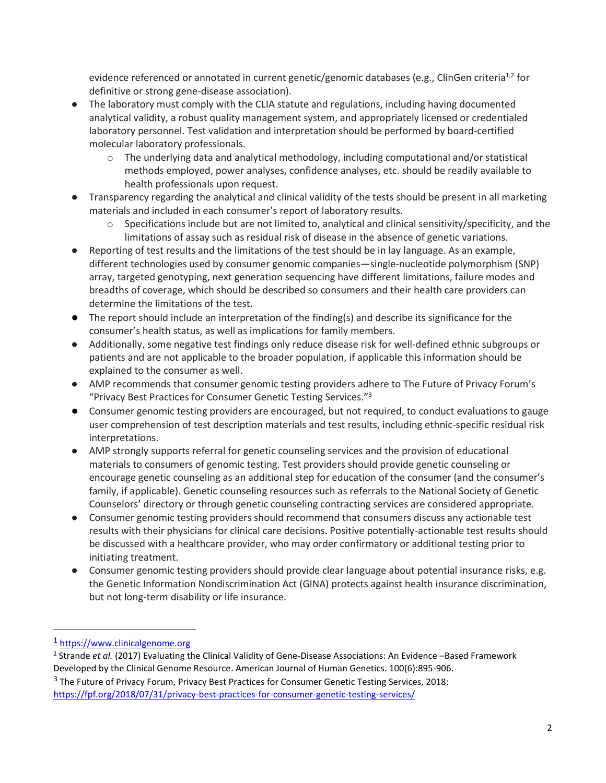evidence referenced or annotated in current genetic/genomic databases (e.g., ClinGen criteria<sup>1,2</sup> for definitive or strong gene-disease association).

- The laboratory must comply with the CLIA statute and regulations, including having documented analytical validity, a robust quality management system, and appropriately licensed or credentialed laboratory personnel. Test validation and interpretation should be performed by board-certified molecular laboratory professionals.
	- o The underlying data and analytical methodology, including computational and/or statistical methods employed, power analyses, confidence analyses, etc. should be readily available to health professionals upon request.
- Transparency regarding the analytical and clinical validity of the tests should be present in all marketing materials and included in each consumer's report of laboratory results.
	- $\circ$  Specifications include but are not limited to, analytical and clinical sensitivity/specificity, and the limitations of assay such as residual risk of disease in the absence of genetic variations.
- Reporting of test results and the limitations of the test should be in lay language. As an example, different technologies used by consumer genomic companies—single-nucleotide polymorphism (SNP) array, targeted genotyping, next generation sequencing have different limitations, failure modes and breadths of coverage, which should be described so consumers and their health care providers can determine the limitations of the test.
- The report should include an interpretation of the finding(s) and describe its significance for the consumer's health status, as well as implications for family members.
- Additionally, some negative test findings only reduce disease risk for well-defined ethnic subgroups or patients and are not applicable to the broader population, if applicable this information should be explained to the consumer as well.
- AMP recommends that consumer genomic testing providers adhere to The Future of Privacy Forum's "Privacy Best Practices for Consumer Genetic Testing Services."<sup>3</sup>
- Consumer genomic testing providers are encouraged, but not required, to conduct evaluations to gauge user comprehension of test description materials and test results, including ethnic-specific residual risk interpretations.
- AMP strongly supports referral for genetic counseling services and the provision of educational materials to consumers of genomic testing. Test providers should provide genetic counseling or encourage genetic counseling as an additional step for education of the consumer (and the consumer's family, if applicable). Genetic counseling resources such as referrals to the National Society of Genetic Counselors' directory or through genetic counseling contracting services are considered appropriate.
- Consumer genomic testing providers should recommend that consumers discuss any actionable test results with their physicians for clinical care decisions. Positive potentially-actionable test results should be discussed with a healthcare provider, who may order confirmatory or additional testing prior to initiating treatment.
- Consumer genomic testing providers should provide clear language about potential insurance risks, e.g. the Genetic Information Nondiscrimination Act (GINA) protects against health insurance discrimination, but not long-term disability or life insurance.

 $\overline{a}$ 

<sup>1</sup> [https://www.clinicalgenome.org](https://www.clinicalgenome.org/)

<sup>2</sup> Strande *et al.* (2017) Evaluating the Clinical Validity of Gene-Disease Associations: An Evidence –Based Framework Developed by the Clinical Genome Resource. American Journal of Human Genetics. 100(6):895-906.

<sup>&</sup>lt;sup>3</sup> The Future of Privacy Forum, Privacy Best Practices for Consumer Genetic Testing Services, 2018: <https://fpf.org/2018/07/31/privacy-best-practices-for-consumer-genetic-testing-services/>